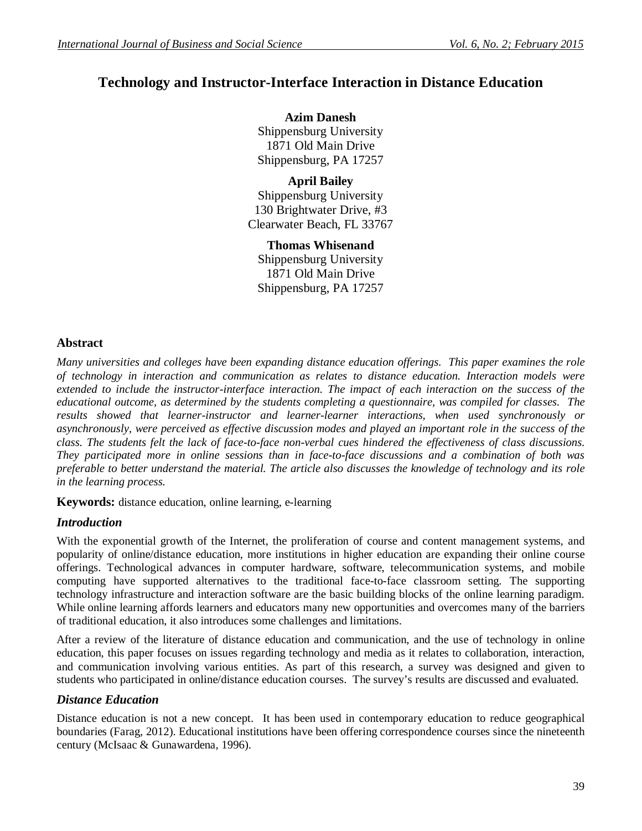# **Technology and Instructor-Interface Interaction in Distance Education**

**Azim Danesh** Shippensburg University 1871 Old Main Drive Shippensburg, PA 17257

**April Bailey** Shippensburg University 130 Brightwater Drive, #3 Clearwater Beach, FL 33767

**Thomas Whisenand** Shippensburg University 1871 Old Main Drive Shippensburg, PA 17257

# **Abstract**

*Many universities and colleges have been expanding distance education offerings. This paper examines the role of technology in interaction and communication as relates to distance education. Interaction models were extended to include the instructor-interface interaction. The impact of each interaction on the success of the educational outcome, as determined by the students completing a questionnaire, was compiled for classes. The results showed that learner-instructor and learner-learner interactions, when used synchronously or asynchronously, were perceived as effective discussion modes and played an important role in the success of the class. The students felt the lack of face-to-face non-verbal cues hindered the effectiveness of class discussions. They participated more in online sessions than in face-to-face discussions and a combination of both was preferable to better understand the material. The article also discusses the knowledge of technology and its role in the learning process.* 

**Keywords:** distance education, online learning, e-learning

# *Introduction*

With the exponential growth of the Internet, the proliferation of course and content management systems, and popularity of online/distance education, more institutions in higher education are expanding their online course offerings. Technological advances in computer hardware, software, telecommunication systems, and mobile computing have supported alternatives to the traditional face-to-face classroom setting. The supporting technology infrastructure and interaction software are the basic building blocks of the online learning paradigm. While online learning affords learners and educators many new opportunities and overcomes many of the barriers of traditional education, it also introduces some challenges and limitations.

After a review of the literature of distance education and communication, and the use of technology in online education, this paper focuses on issues regarding technology and media as it relates to collaboration, interaction, and communication involving various entities. As part of this research, a survey was designed and given to students who participated in online/distance education courses. The survey's results are discussed and evaluated.

# *Distance Education*

Distance education is not a new concept. It has been used in contemporary education to reduce geographical boundaries (Farag, 2012). Educational institutions have been offering correspondence courses since the nineteenth century (McIsaac & Gunawardena, 1996).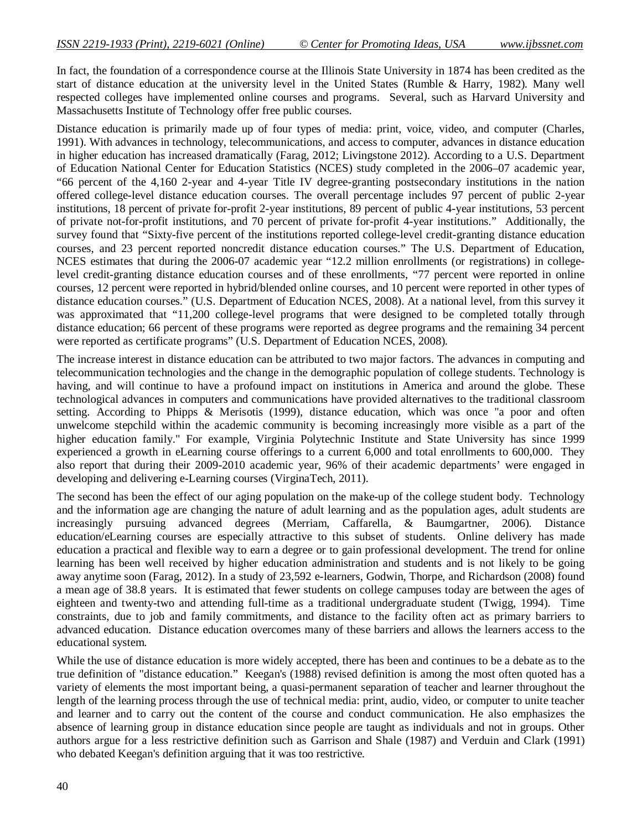In fact, the foundation of a correspondence course at the Illinois State University in 1874 has been credited as the start of distance education at the university level in the United States (Rumble & Harry, 1982). Many well respected colleges have implemented online courses and programs. Several, such as Harvard University and Massachusetts Institute of Technology offer free public courses.

Distance education is primarily made up of four types of media: print, voice, video, and computer (Charles, 1991). With advances in technology, telecommunications, and access to computer, advances in distance education in higher education has increased dramatically (Farag, 2012; Livingstone 2012). According to a U.S. Department of Education National Center for Education Statistics (NCES) study completed in the 2006–07 academic year, "66 percent of the 4,160 2-year and 4-year Title IV degree-granting postsecondary institutions in the nation offered college-level distance education courses. The overall percentage includes 97 percent of public 2-year institutions, 18 percent of private for-profit 2-year institutions, 89 percent of public 4-year institutions, 53 percent of private not-for-profit institutions, and 70 percent of private for-profit 4-year institutions." Additionally, the survey found that "Sixty-five percent of the institutions reported college-level credit-granting distance education courses, and 23 percent reported noncredit distance education courses." The U.S. Department of Education, NCES estimates that during the 2006-07 academic year "12.2 million enrollments (or registrations) in collegelevel credit-granting distance education courses and of these enrollments, "77 percent were reported in online courses, 12 percent were reported in hybrid/blended online courses, and 10 percent were reported in other types of distance education courses." (U.S. Department of Education NCES, 2008). At a national level, from this survey it was approximated that "11,200 college-level programs that were designed to be completed totally through distance education; 66 percent of these programs were reported as degree programs and the remaining 34 percent were reported as certificate programs" (U.S. Department of Education NCES, 2008).

The increase interest in distance education can be attributed to two major factors. The advances in computing and telecommunication technologies and the change in the demographic population of college students. Technology is having, and will continue to have a profound impact on institutions in America and around the globe. These technological advances in computers and communications have provided alternatives to the traditional classroom setting. According to Phipps & Merisotis (1999), distance education, which was once "a poor and often unwelcome stepchild within the academic community is becoming increasingly more visible as a part of the higher education family." For example, Virginia Polytechnic Institute and State University has since 1999 experienced a growth in eLearning course offerings to a current 6,000 and total enrollments to 600,000. They also report that during their 2009-2010 academic year, 96% of their academic departments' were engaged in developing and delivering e-Learning courses (VirginaTech, 2011).

The second has been the effect of our aging population on the make-up of the college student body. Technology and the information age are changing the nature of adult learning and as the population ages, adult students are increasingly pursuing advanced degrees (Merriam, Caffarella, & Baumgartner, 2006). Distance education/eLearning courses are especially attractive to this subset of students. Online delivery has made education a practical and flexible way to earn a degree or to gain professional development. The trend for online learning has been well received by higher education administration and students and is not likely to be going away anytime soon (Farag, 2012). In a study of 23,592 e-learners, Godwin, Thorpe, and Richardson (2008) found a mean age of 38.8 years. It is estimated that fewer students on college campuses today are between the ages of eighteen and twenty-two and attending full-time as a traditional undergraduate student (Twigg, 1994). Time constraints, due to job and family commitments, and distance to the facility often act as primary barriers to advanced education. Distance education overcomes many of these barriers and allows the learners access to the educational system.

While the use of distance education is more widely accepted, there has been and continues to be a debate as to the true definition of "distance education." Keegan's (1988) revised definition is among the most often quoted has a variety of elements the most important being, a quasi-permanent separation of teacher and learner throughout the length of the learning process through the use of technical media: print, audio, video, or computer to unite teacher and learner and to carry out the content of the course and conduct communication. He also emphasizes the absence of learning group in distance education since people are taught as individuals and not in groups. Other authors argue for a less restrictive definition such as Garrison and Shale (1987) and Verduin and Clark (1991) who debated Keegan's definition arguing that it was too restrictive.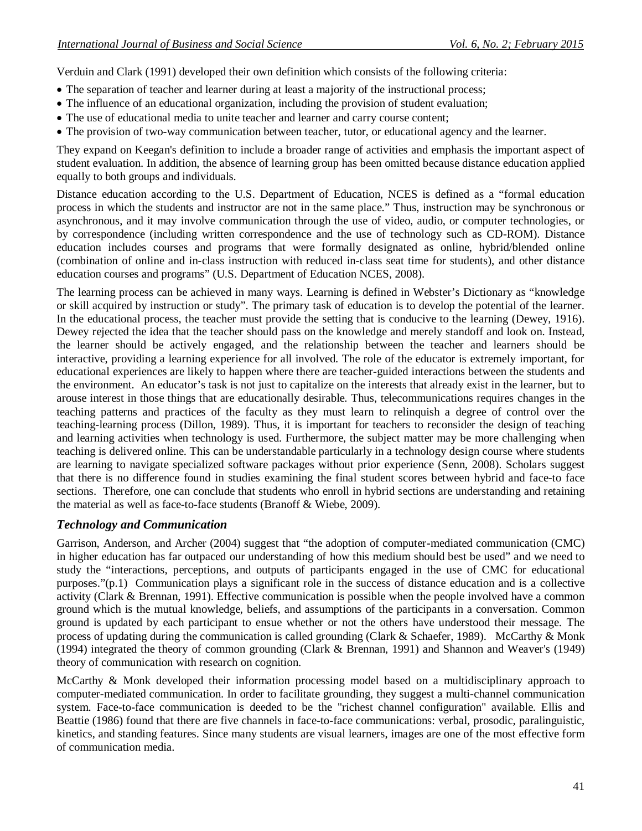Verduin and Clark (1991) developed their own definition which consists of the following criteria:

- The separation of teacher and learner during at least a majority of the instructional process;
- The influence of an educational organization, including the provision of student evaluation;
- The use of educational media to unite teacher and learner and carry course content;
- The provision of two-way communication between teacher, tutor, or educational agency and the learner.

They expand on Keegan's definition to include a broader range of activities and emphasis the important aspect of student evaluation. In addition, the absence of learning group has been omitted because distance education applied equally to both groups and individuals.

Distance education according to the U.S. Department of Education, NCES is defined as a "formal education process in which the students and instructor are not in the same place." Thus, instruction may be synchronous or asynchronous, and it may involve communication through the use of video, audio, or computer technologies, or by correspondence (including written correspondence and the use of technology such as CD-ROM). Distance education includes courses and programs that were formally designated as online, hybrid/blended online (combination of online and in-class instruction with reduced in-class seat time for students), and other distance education courses and programs" (U.S. Department of Education NCES, 2008).

The learning process can be achieved in many ways. Learning is defined in Webster's Dictionary as "knowledge or skill acquired by instruction or study". The primary task of education is to develop the potential of the learner. In the educational process, the teacher must provide the setting that is conducive to the learning (Dewey, 1916). Dewey rejected the idea that the teacher should pass on the knowledge and merely standoff and look on. Instead, the learner should be actively engaged, and the relationship between the teacher and learners should be interactive, providing a learning experience for all involved. The role of the educator is extremely important, for educational experiences are likely to happen where there are teacher-guided interactions between the students and the environment. An educator's task is not just to capitalize on the interests that already exist in the learner, but to arouse interest in those things that are educationally desirable. Thus, telecommunications requires changes in the teaching patterns and practices of the faculty as they must learn to relinquish a degree of control over the teaching-learning process (Dillon, 1989). Thus, it is important for teachers to reconsider the design of teaching and learning activities when technology is used. Furthermore, the subject matter may be more challenging when teaching is delivered online. This can be understandable particularly in a technology design course where students are learning to navigate specialized software packages without prior experience (Senn, 2008). Scholars suggest that there is no difference found in studies examining the final student scores between hybrid and face-to face sections. Therefore, one can conclude that students who enroll in hybrid sections are understanding and retaining the material as well as face-to-face students (Branoff & Wiebe, 2009).

# *Technology and Communication*

Garrison, Anderson, and Archer (2004) suggest that "the adoption of computer-mediated communication (CMC) in higher education has far outpaced our understanding of how this medium should best be used" and we need to study the "interactions, perceptions, and outputs of participants engaged in the use of CMC for educational purposes."(p.1) Communication plays a significant role in the success of distance education and is a collective activity (Clark & Brennan, 1991). Effective communication is possible when the people involved have a common ground which is the mutual knowledge, beliefs, and assumptions of the participants in a conversation. Common ground is updated by each participant to ensue whether or not the others have understood their message. The process of updating during the communication is called grounding (Clark & Schaefer, 1989). McCarthy & Monk (1994) integrated the theory of common grounding (Clark & Brennan, 1991) and Shannon and Weaver's (1949) theory of communication with research on cognition.

McCarthy & Monk developed their information processing model based on a multidisciplinary approach to computer-mediated communication. In order to facilitate grounding, they suggest a multi-channel communication system. Face-to-face communication is deeded to be the "richest channel configuration" available. Ellis and Beattie (1986) found that there are five channels in face-to-face communications: verbal, prosodic, paralinguistic, kinetics, and standing features. Since many students are visual learners, images are one of the most effective form of communication media.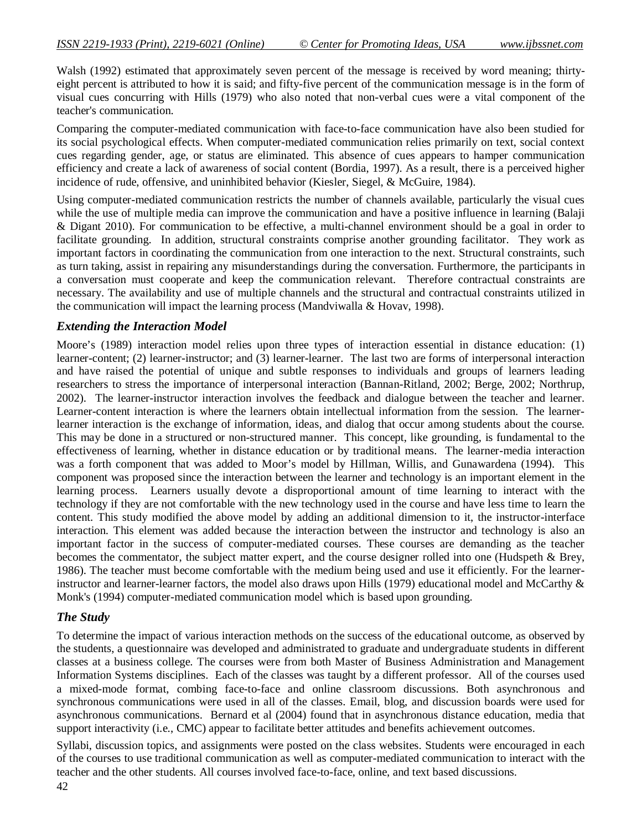Walsh (1992) estimated that approximately seven percent of the message is received by word meaning; thirtyeight percent is attributed to how it is said; and fifty-five percent of the communication message is in the form of visual cues concurring with Hills (1979) who also noted that non-verbal cues were a vital component of the teacher's communication.

Comparing the computer-mediated communication with face-to-face communication have also been studied for its social psychological effects. When computer-mediated communication relies primarily on text, social context cues regarding gender, age, or status are eliminated. This absence of cues appears to hamper communication efficiency and create a lack of awareness of social content (Bordia, 1997). As a result, there is a perceived higher incidence of rude, offensive, and uninhibited behavior (Kiesler, Siegel, & McGuire, 1984).

Using computer-mediated communication restricts the number of channels available, particularly the visual cues while the use of multiple media can improve the communication and have a positive influence in learning (Balaji & Digant 2010). For communication to be effective, a multi-channel environment should be a goal in order to facilitate grounding. In addition, structural constraints comprise another grounding facilitator. They work as important factors in coordinating the communication from one interaction to the next. Structural constraints, such as turn taking, assist in repairing any misunderstandings during the conversation. Furthermore, the participants in a conversation must cooperate and keep the communication relevant. Therefore contractual constraints are necessary. The availability and use of multiple channels and the structural and contractual constraints utilized in the communication will impact the learning process (Mandviwalla & Hovav, 1998).

## *Extending the Interaction Model*

Moore's (1989) interaction model relies upon three types of interaction essential in distance education: (1) learner-content; (2) learner-instructor; and (3) learner-learner. The last two are forms of interpersonal interaction and have raised the potential of unique and subtle responses to individuals and groups of learners leading researchers to stress the importance of interpersonal interaction (Bannan-Ritland, 2002; Berge, 2002; Northrup, 2002). The learner-instructor interaction involves the feedback and dialogue between the teacher and learner. Learner-content interaction is where the learners obtain intellectual information from the session. The learnerlearner interaction is the exchange of information, ideas, and dialog that occur among students about the course. This may be done in a structured or non-structured manner. This concept, like grounding, is fundamental to the effectiveness of learning, whether in distance education or by traditional means. The learner-media interaction was a forth component that was added to Moor's model by Hillman, Willis, and Gunawardena (1994). This component was proposed since the interaction between the learner and technology is an important element in the learning process. Learners usually devote a disproportional amount of time learning to interact with the technology if they are not comfortable with the new technology used in the course and have less time to learn the content. This study modified the above model by adding an additional dimension to it, the instructor-interface interaction. This element was added because the interaction between the instructor and technology is also an important factor in the success of computer-mediated courses. These courses are demanding as the teacher becomes the commentator, the subject matter expert, and the course designer rolled into one (Hudspeth & Brey, 1986). The teacher must become comfortable with the medium being used and use it efficiently. For the learnerinstructor and learner-learner factors, the model also draws upon Hills (1979) educational model and McCarthy & Monk's (1994) computer-mediated communication model which is based upon grounding.

# *The Study*

To determine the impact of various interaction methods on the success of the educational outcome, as observed by the students, a questionnaire was developed and administrated to graduate and undergraduate students in different classes at a business college. The courses were from both Master of Business Administration and Management Information Systems disciplines. Each of the classes was taught by a different professor. All of the courses used a mixed-mode format, combing face-to-face and online classroom discussions. Both asynchronous and synchronous communications were used in all of the classes. Email, blog, and discussion boards were used for asynchronous communications. Bernard et al (2004) found that in asynchronous distance education, media that support interactivity (i.e., CMC) appear to facilitate better attitudes and benefits achievement outcomes.

Syllabi, discussion topics, and assignments were posted on the class websites. Students were encouraged in each of the courses to use traditional communication as well as computer-mediated communication to interact with the teacher and the other students. All courses involved face-to-face, online, and text based discussions.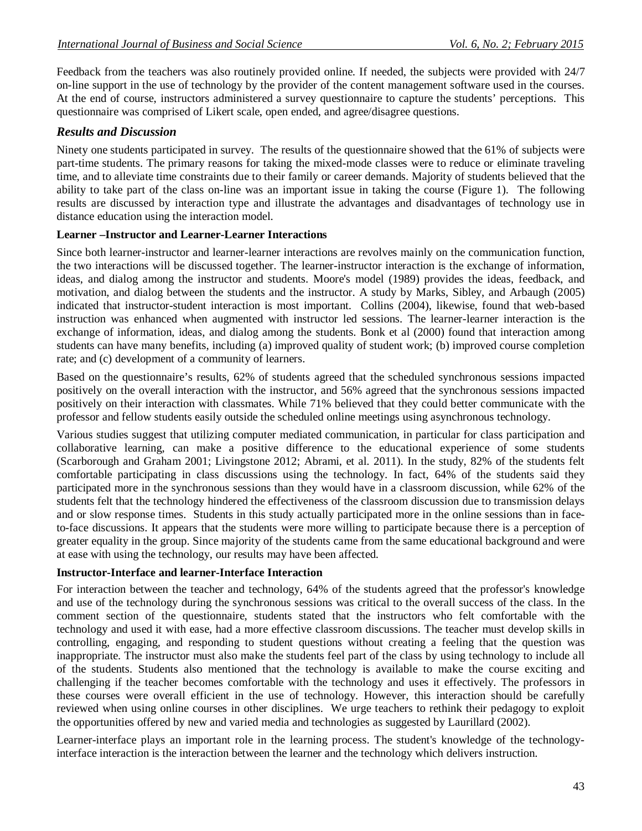Feedback from the teachers was also routinely provided online. If needed, the subjects were provided with 24/7 on-line support in the use of technology by the provider of the content management software used in the courses. At the end of course, instructors administered a survey questionnaire to capture the students' perceptions. This questionnaire was comprised of Likert scale, open ended, and agree/disagree questions.

## *Results and Discussion*

Ninety one students participated in survey. The results of the questionnaire showed that the 61% of subjects were part-time students. The primary reasons for taking the mixed-mode classes were to reduce or eliminate traveling time, and to alleviate time constraints due to their family or career demands. Majority of students believed that the ability to take part of the class on-line was an important issue in taking the course (Figure 1). The following results are discussed by interaction type and illustrate the advantages and disadvantages of technology use in distance education using the interaction model.

#### **Learner –Instructor and Learner-Learner Interactions**

Since both learner-instructor and learner-learner interactions are revolves mainly on the communication function, the two interactions will be discussed together. The learner-instructor interaction is the exchange of information, ideas, and dialog among the instructor and students. Moore's model (1989) provides the ideas, feedback, and motivation, and dialog between the students and the instructor. A study by Marks, Sibley, and Arbaugh (2005) indicated that instructor-student interaction is most important. Collins (2004), likewise, found that web-based instruction was enhanced when augmented with instructor led sessions. The learner-learner interaction is the exchange of information, ideas, and dialog among the students. Bonk et al (2000) found that interaction among students can have many benefits, including (a) improved quality of student work; (b) improved course completion rate; and (c) development of a community of learners.

Based on the questionnaire's results, 62% of students agreed that the scheduled synchronous sessions impacted positively on the overall interaction with the instructor, and 56% agreed that the synchronous sessions impacted positively on their interaction with classmates. While 71% believed that they could better communicate with the professor and fellow students easily outside the scheduled online meetings using asynchronous technology.

Various studies suggest that utilizing computer mediated communication, in particular for class participation and collaborative learning, can make a positive difference to the educational experience of some students (Scarborough and Graham 2001; Livingstone 2012; Abrami, et al. 2011). In the study, 82% of the students felt comfortable participating in class discussions using the technology. In fact, 64% of the students said they participated more in the synchronous sessions than they would have in a classroom discussion, while 62% of the students felt that the technology hindered the effectiveness of the classroom discussion due to transmission delays and or slow response times. Students in this study actually participated more in the online sessions than in faceto-face discussions. It appears that the students were more willing to participate because there is a perception of greater equality in the group. Since majority of the students came from the same educational background and were at ease with using the technology, our results may have been affected.

#### **Instructor-Interface and learner-Interface Interaction**

For interaction between the teacher and technology, 64% of the students agreed that the professor's knowledge and use of the technology during the synchronous sessions was critical to the overall success of the class. In the comment section of the questionnaire, students stated that the instructors who felt comfortable with the technology and used it with ease, had a more effective classroom discussions. The teacher must develop skills in controlling, engaging, and responding to student questions without creating a feeling that the question was inappropriate. The instructor must also make the students feel part of the class by using technology to include all of the students. Students also mentioned that the technology is available to make the course exciting and challenging if the teacher becomes comfortable with the technology and uses it effectively. The professors in these courses were overall efficient in the use of technology. However, this interaction should be carefully reviewed when using online courses in other disciplines. We urge teachers to rethink their pedagogy to exploit the opportunities offered by new and varied media and technologies as suggested by Laurillard (2002).

Learner-interface plays an important role in the learning process. The student's knowledge of the technologyinterface interaction is the interaction between the learner and the technology which delivers instruction.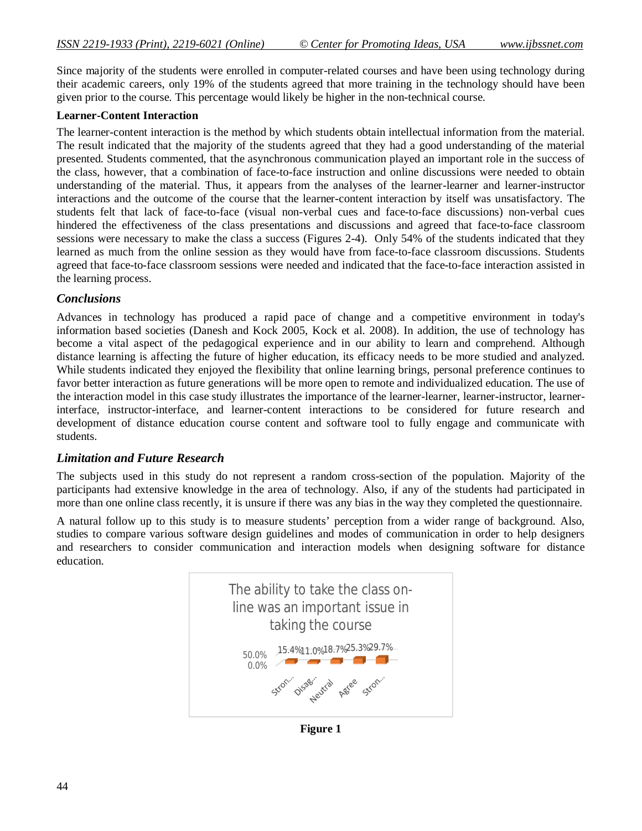Since majority of the students were enrolled in computer-related courses and have been using technology during their academic careers, only 19% of the students agreed that more training in the technology should have been given prior to the course. This percentage would likely be higher in the non-technical course.

#### **Learner-Content Interaction**

The learner-content interaction is the method by which students obtain intellectual information from the material. The result indicated that the majority of the students agreed that they had a good understanding of the material presented. Students commented, that the asynchronous communication played an important role in the success of the class, however, that a combination of face-to-face instruction and online discussions were needed to obtain understanding of the material. Thus, it appears from the analyses of the learner-learner and learner-instructor interactions and the outcome of the course that the learner-content interaction by itself was unsatisfactory. The students felt that lack of face-to-face (visual non-verbal cues and face-to-face discussions) non-verbal cues hindered the effectiveness of the class presentations and discussions and agreed that face-to-face classroom sessions were necessary to make the class a success (Figures 2-4). Only 54% of the students indicated that they learned as much from the online session as they would have from face-to-face classroom discussions. Students agreed that face-to-face classroom sessions were needed and indicated that the face-to-face interaction assisted in the learning process.

#### *Conclusions*

Advances in technology has produced a rapid pace of change and a competitive environment in today's information based societies (Danesh and Kock 2005, Kock et al. 2008). In addition, the use of technology has become a vital aspect of the pedagogical experience and in our ability to learn and comprehend. Although distance learning is affecting the future of higher education, its efficacy needs to be more studied and analyzed. While students indicated they enjoyed the flexibility that online learning brings, personal preference continues to favor better interaction as future generations will be more open to remote and individualized education. The use of the interaction model in this case study illustrates the importance of the learner-learner, learner-instructor, learnerinterface, instructor-interface, and learner-content interactions to be considered for future research and development of distance education course content and software tool to fully engage and communicate with students.

#### *Limitation and Future Research*

The subjects used in this study do not represent a random cross-section of the population. Majority of the participants had extensive knowledge in the area of technology. Also, if any of the students had participated in more than one online class recently, it is unsure if there was any bias in the way they completed the questionnaire.

A natural follow up to this study is to measure students' perception from a wider range of background. Also, studies to compare various software design guidelines and modes of communication in order to help designers and researchers to consider communication and interaction models when designing software for distance education.



**Figure 1**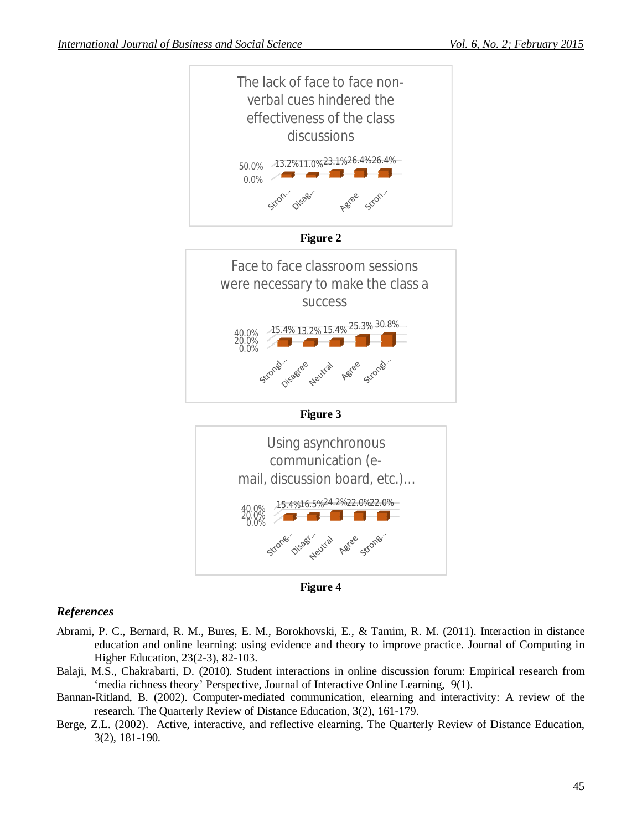



Neutral

Oifsager

Agree

strong.

0.0%

Strong

# *References*

- Abrami, P. C., Bernard, R. M., Bures, E. M., Borokhovski, E., & Tamim, R. M. (2011). Interaction in distance education and online learning: using evidence and theory to improve practice. Journal of Computing in Higher Education, 23(2-3), 82-103.
- Balaji, M.S., Chakrabarti, D. (2010). Student interactions in online discussion forum: Empirical research from 'media richness theory' Perspective, Journal of Interactive Online Learning, 9(1).
- Bannan-Ritland, B. (2002). Computer-mediated communication, elearning and interactivity: A review of the research. The Quarterly Review of Distance Education, 3(2), 161-179.
- Berge, Z.L. (2002). Active, interactive, and reflective elearning. The Quarterly Review of Distance Education, 3(2), 181-190.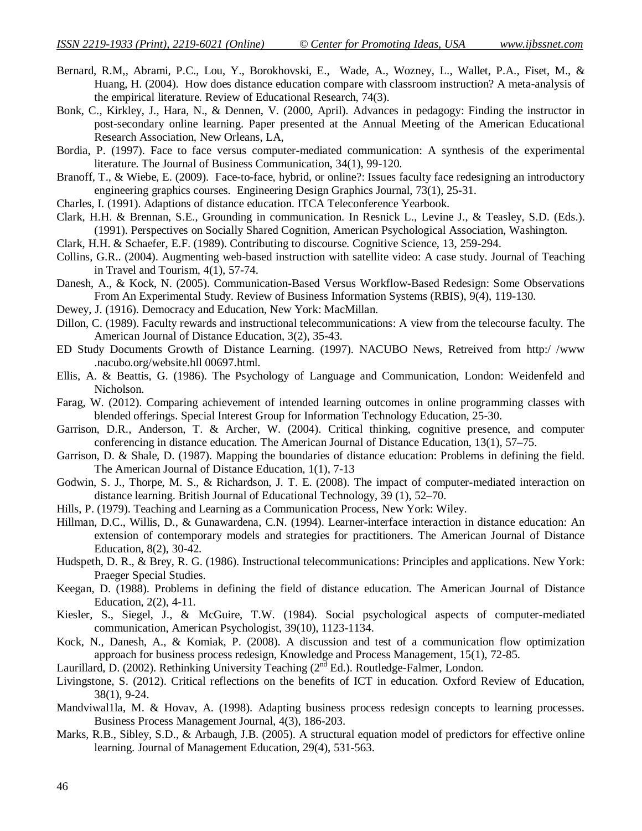- Bernard, R.M,, Abrami, P.C., Lou, Y., Borokhovski, E., Wade, A., Wozney, L., Wallet, P.A., Fiset, M., & Huang, H. (2004). How does distance education compare with classroom instruction? A meta-analysis of the empirical literature. Review of Educational Research, 74(3).
- Bonk, C., Kirkley, J., Hara, N., & Dennen, V. (2000, April). Advances in pedagogy: Finding the instructor in post-secondary online learning. Paper presented at the Annual Meeting of the American Educational Research Association, New Orleans, LA,
- Bordia, P. (1997). Face to face versus computer-mediated communication: A synthesis of the experimental literature. The Journal of Business Communication, 34(1), 99-120.
- Branoff, T., & Wiebe, E. (2009). Face-to-face, hybrid, or online?: Issues faculty face redesigning an introductory engineering graphics courses. Engineering Design Graphics Journal, 73(1), 25-31.
- Charles, I. (1991). Adaptions of distance education. ITCA Teleconference Yearbook.
- Clark, H.H. & Brennan, S.E., Grounding in communication. In Resnick L., Levine J., & Teasley, S.D. (Eds.). (1991). Perspectives on Socially Shared Cognition, American Psychological Association, Washington.
- Clark, H.H. & Schaefer, E.F. (1989). Contributing to discourse. Cognitive Science, 13, 259-294.
- Collins, G.R.. (2004). Augmenting web-based instruction with satellite video: A case study. Journal of Teaching in Travel and Tourism, 4(1), 57-74.
- Danesh, A., & Kock, N. (2005). Communication-Based Versus Workflow-Based Redesign: Some Observations From An Experimental Study. Review of Business Information Systems (RBIS), 9(4), 119-130.
- Dewey, J. (1916). Democracy and Education, New York: MacMillan.
- Dillon, C. (1989). Faculty rewards and instructional telecommunications: A view from the telecourse faculty. The American Journal of Distance Education, 3(2), 35-43.
- ED Study Documents Growth of Distance Learning. (1997). NACUBO News, Retreived from http:/ /www .nacubo.org/website.hll 00697.html.
- Ellis, A. & Beattis, G. (1986). The Psychology of Language and Communication, London: Weidenfeld and Nicholson.
- Farag, W. (2012). Comparing achievement of intended learning outcomes in online programming classes with blended offerings. Special Interest Group for Information Technology Education, 25-30.
- Garrison, D.R., Anderson, T. & Archer, W. (2004). Critical thinking, cognitive presence, and computer conferencing in distance education. The American Journal of Distance Education, 13(1), 57–75.
- Garrison, D. & Shale, D. (1987). Mapping the boundaries of distance education: Problems in defining the field. The American Journal of Distance Education, 1(1), 7-13
- Godwin, S. J., Thorpe, M. S., & Richardson, J. T. E. (2008). The impact of computer-mediated interaction on distance learning. British Journal of Educational Technology, 39 (1), 52–70.
- Hills, P. (1979). Teaching and Learning as a Communication Process, New York: Wiley.
- Hillman, D.C., Willis, D., & Gunawardena, C.N. (1994). Learner-interface interaction in distance education: An extension of contemporary models and strategies for practitioners. The American Journal of Distance Education, 8(2), 30-42.
- Hudspeth, D. R., & Brey, R. G. (1986). Instructional telecommunications: Principles and applications. New York: Praeger Special Studies.
- Keegan, D. (1988). Problems in defining the field of distance education. The American Journal of Distance Education, 2(2), 4-11.
- Kiesler, S., Siegel, J., & McGuire, T.W. (1984). Social psychological aspects of computer-mediated communication, American Psychologist, 39(10), 1123-1134.
- Kock, N., Danesh, A., & Komiak, P. (2008). A discussion and test of a communication flow optimization approach for business process redesign, Knowledge and Process Management, 15(1), 72-85.
- Laurillard, D. (2002). Rethinking University Teaching (2<sup>nd</sup> Ed.). Routledge-Falmer, London.
- Livingstone, S. (2012). Critical reflections on the benefits of ICT in education. Oxford Review of Education, 38(1), 9-24.
- Mandviwal1la, M. & Hovav, A. (1998). Adapting business process redesign concepts to learning processes. Business Process Management Journal, 4(3), 186-203.
- Marks, R.B., Sibley, S.D., & Arbaugh, J.B. (2005). A structural equation model of predictors for effective online learning. Journal of Management Education, 29(4), 531-563.